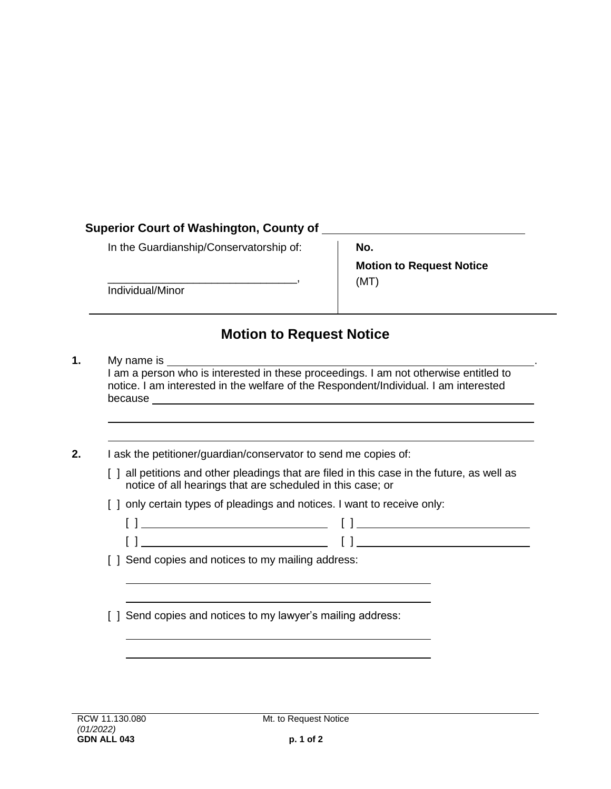## **Superior Court of Washington, County of**

In the Guardianship/Conservatorship of:

\_\_\_\_\_\_\_\_\_\_\_\_\_\_\_\_\_\_\_\_\_\_\_\_\_\_\_\_\_\_\_,

Individual/Minor

**No. Motion to Request Notice** (MT)

## **Motion to Request Notice**

- **1.** My name is \_\_ I am a person who is interested in these proceedings. I am not otherwise entitled to notice. I am interested in the welfare of the Respondent/Individual. I am interested because
- **2.** I ask the petitioner/guardian/conservator to send me copies of:
	- [ ] all petitions and other pleadings that are filed in this case in the future, as well as notice of all hearings that are scheduled in this case; or
	- [ ] only certain types of pleadings and notices. I want to receive only:
		- $\begin{bmatrix} 1 & 1 & 1 \end{bmatrix}$
		- [ ] [ ]

[ ] Send copies and notices to my mailing address:

[ ] Send copies and notices to my lawyer's mailing address: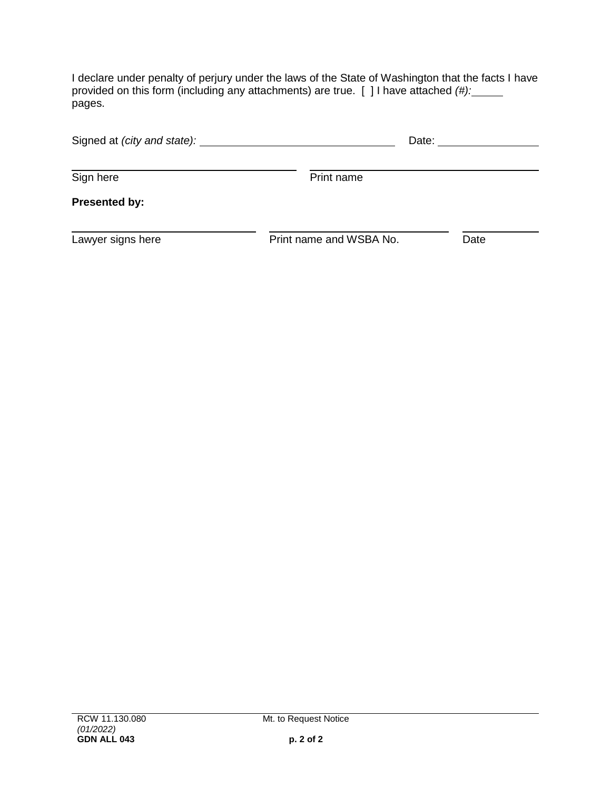I declare under penalty of perjury under the laws of the State of Washington that the facts I have provided on this form (including any attachments) are true. [ ] I have attached *(#):* pages.

| Signed at (city and state): _________ | Date:                   |      |
|---------------------------------------|-------------------------|------|
| Sign here                             | Print name              |      |
| <b>Presented by:</b>                  |                         |      |
| Lawyer signs here                     | Print name and WSBA No. | Date |